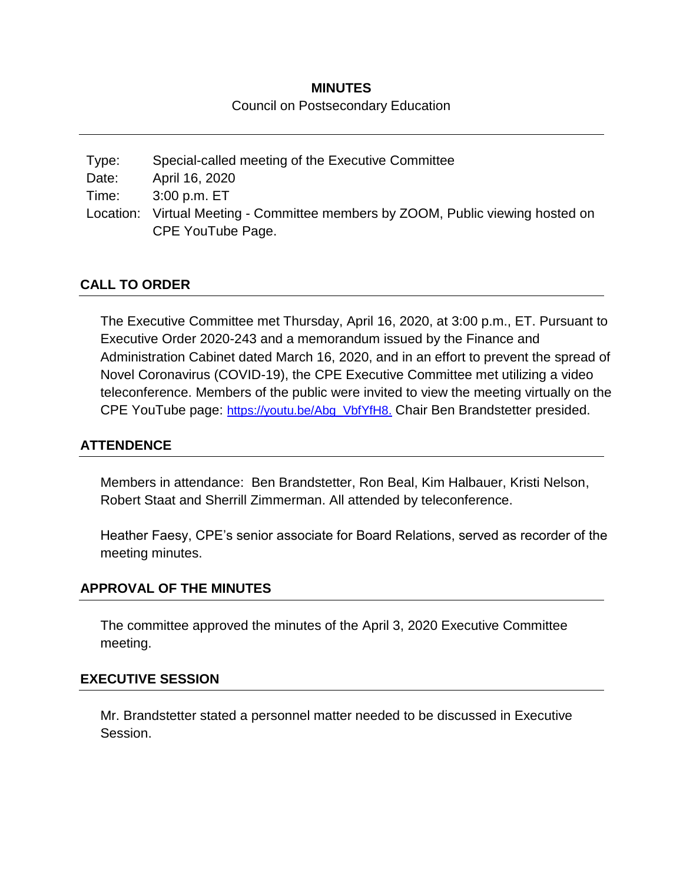# **MINUTES** Council on Postsecondary Education

Type: Special-called meeting of the Executive Committee Date: April 16, 2020 Time: 3:00 p.m. ET Location: Virtual Meeting - Committee members by ZOOM, Public viewing hosted on CPE YouTube Page.

## **CALL TO ORDER**

The Executive Committee met Thursday, April 16, 2020, at 3:00 p.m., ET. Pursuant to Executive Order 2020-243 and a memorandum issued by the Finance and Administration Cabinet dated March 16, 2020, and in an effort to prevent the spread of Novel Coronavirus (COVID-19), the CPE Executive Committee met utilizing a video teleconference. Members of the public were invited to view the meeting virtually on the CPE YouTube page: [https://youtu.be/Abg\\_VbfYfH8.](https://youtu.be/Abg_VbfYfH8) Chair Ben Brandstetter presided.

## **ATTENDENCE**

Members in attendance: Ben Brandstetter, Ron Beal, Kim Halbauer, Kristi Nelson, Robert Staat and Sherrill Zimmerman. All attended by teleconference.

Heather Faesy, CPE's senior associate for Board Relations, served as recorder of the meeting minutes.

### **APPROVAL OF THE MINUTES**

The committee approved the minutes of the April 3, 2020 Executive Committee meeting.

### **EXECUTIVE SESSION**

Mr. Brandstetter stated a personnel matter needed to be discussed in Executive Session.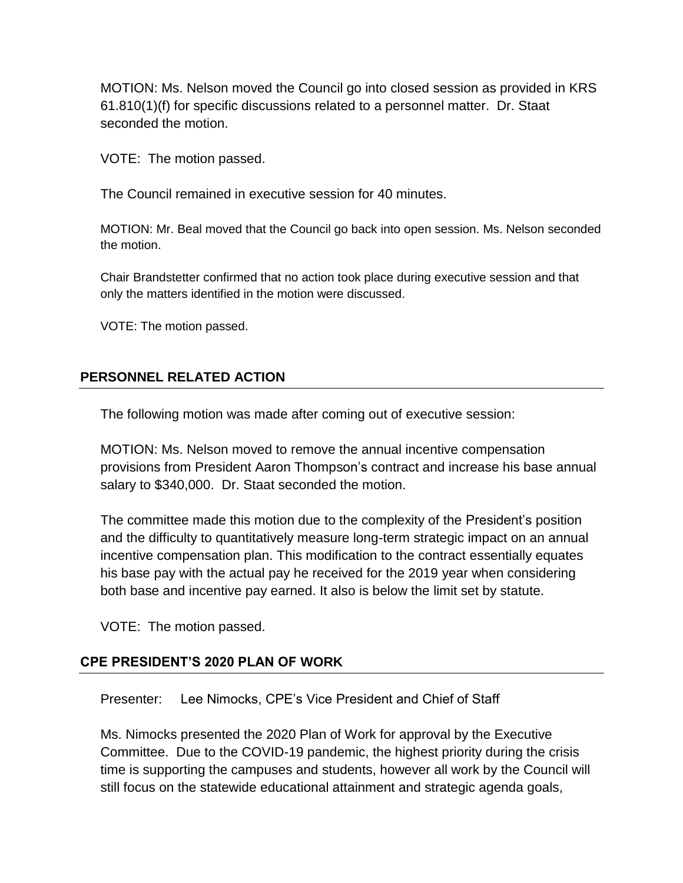MOTION: Ms. Nelson moved the Council go into closed session as provided in KRS 61.810(1)(f) for specific discussions related to a personnel matter. Dr. Staat seconded the motion.

VOTE: The motion passed.

The Council remained in executive session for 40 minutes.

MOTION: Mr. Beal moved that the Council go back into open session. Ms. Nelson seconded the motion.

Chair Brandstetter confirmed that no action took place during executive session and that only the matters identified in the motion were discussed.

VOTE: The motion passed.

## **PERSONNEL RELATED ACTION**

The following motion was made after coming out of executive session:

MOTION: Ms. Nelson moved to remove the annual incentive compensation provisions from President Aaron Thompson's contract and increase his base annual salary to \$340,000. Dr. Staat seconded the motion.

The committee made this motion due to the complexity of the President's position and the difficulty to quantitatively measure long-term strategic impact on an annual incentive compensation plan. This modification to the contract essentially equates his base pay with the actual pay he received for the 2019 year when considering both base and incentive pay earned. It also is below the limit set by statute.

VOTE: The motion passed.

### **CPE PRESIDENT'S 2020 PLAN OF WORK**

Presenter: Lee Nimocks, CPE's Vice President and Chief of Staff

Ms. Nimocks presented the 2020 Plan of Work for approval by the Executive Committee. Due to the COVID-19 pandemic, the highest priority during the crisis time is supporting the campuses and students, however all work by the Council will still focus on the statewide educational attainment and strategic agenda goals,